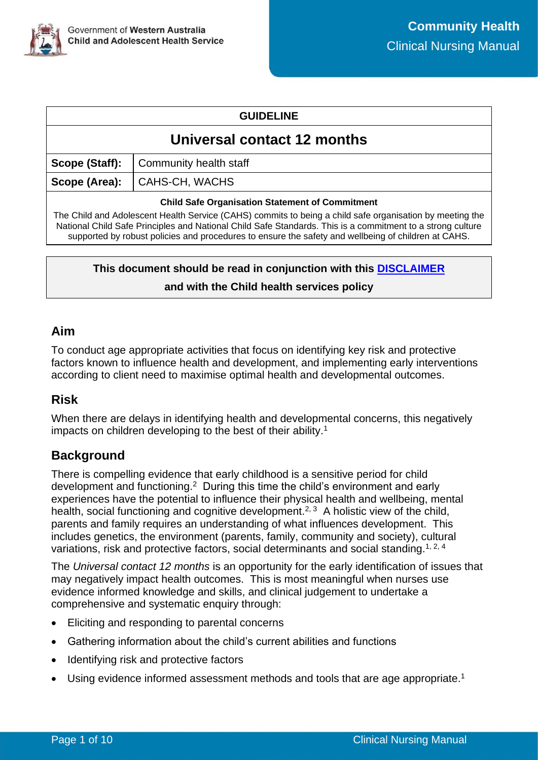| <b>GUIDELINE</b> |  |
|------------------|--|
|------------------|--|

# **Universal contact 12 months**

**Scope (Staff):** Community health staff

**Scope (Area):** | CAHS-CH, WACHS

#### **Child Safe Organisation Statement of Commitment**

The Child and Adolescent Health Service (CAHS) commits to being a child safe organisation by meeting the National Child Safe Principles and National Child Safe Standards. This is a commitment to a strong culture supported by robust policies and procedures to ensure the safety and wellbeing of children at CAHS.

# **This document should be read in conjunction with this [DISCLAIMER](https://cahs.health.wa.gov.au/For-health-professionals/Resources/CAHS-Clinical-Disclaimer) and with the Child health services policy**

### **Aim**

To conduct age appropriate activities that focus on identifying key risk and protective factors known to influence health and development, and implementing early interventions according to client need to maximise optimal health and developmental outcomes.

# **Risk**

When there are delays in identifying health and developmental concerns, this negatively impacts on children developing to the best of their ability.<sup>1</sup>

# **Background**

There is compelling evidence that early childhood is a sensitive period for child development and functioning.<sup>2</sup> During this time the child's environment and early experiences have the potential to influence their physical health and wellbeing, mental health, social functioning and cognitive development.<sup>2, 3</sup> A holistic view of the child, parents and family requires an understanding of what influences development. This includes genetics, the environment (parents, family, community and society), cultural variations, risk and protective factors, social determinants and social standing.<sup>1, 2, 4</sup>

The *Universal contact 12 months* is an opportunity for the early identification of issues that may negatively impact health outcomes. This is most meaningful when nurses use evidence informed knowledge and skills, and clinical judgement to undertake a comprehensive and systematic enquiry through:

- Eliciting and responding to parental concerns
- Gathering information about the child's current abilities and functions
- Identifying risk and protective factors
- $\bullet$  Using evidence informed assessment methods and tools that are age appropriate.<sup>1</sup>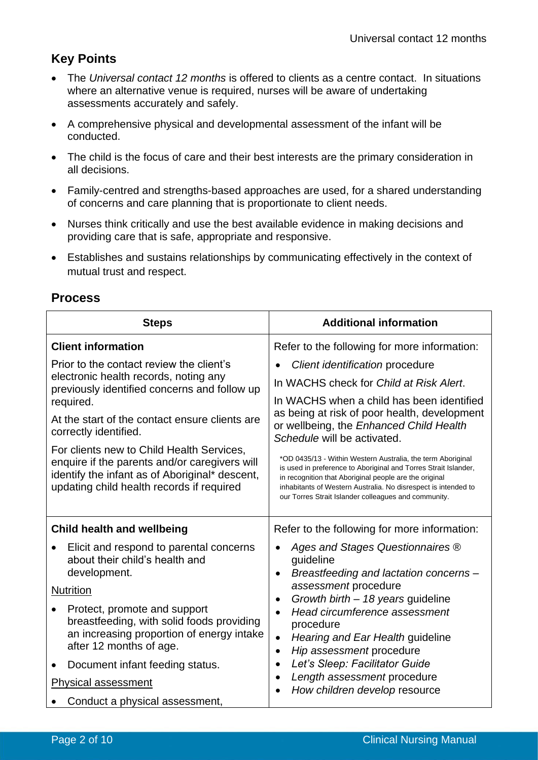# **Key Points**

- The *Universal contact 12 months* is offered to clients as a centre contact. In situations where an alternative venue is required, nurses will be aware of undertaking assessments accurately and safely.
- A comprehensive physical and developmental assessment of the infant will be conducted.
- The child is the focus of care and their best interests are the primary consideration in all decisions.
- Family-centred and strengths-based approaches are used, for a shared understanding of concerns and care planning that is proportionate to client needs.
- Nurses think critically and use the best available evidence in making decisions and providing care that is safe, appropriate and responsive.
- Establishes and sustains relationships by communicating effectively in the context of mutual trust and respect.

| <b>Steps</b>                                                                                                                                                                                                                                                                                                                                                                                                           | <b>Additional information</b>                                                                                                                                                                                                                                                                                                                                                                                                                                                                                                                                           |  |  |
|------------------------------------------------------------------------------------------------------------------------------------------------------------------------------------------------------------------------------------------------------------------------------------------------------------------------------------------------------------------------------------------------------------------------|-------------------------------------------------------------------------------------------------------------------------------------------------------------------------------------------------------------------------------------------------------------------------------------------------------------------------------------------------------------------------------------------------------------------------------------------------------------------------------------------------------------------------------------------------------------------------|--|--|
| <b>Client information</b>                                                                                                                                                                                                                                                                                                                                                                                              | Refer to the following for more information:                                                                                                                                                                                                                                                                                                                                                                                                                                                                                                                            |  |  |
| Prior to the contact review the client's<br>electronic health records, noting any<br>previously identified concerns and follow up<br>required.<br>At the start of the contact ensure clients are<br>correctly identified.<br>For clients new to Child Health Services,<br>enquire if the parents and/or caregivers will<br>identify the infant as of Aboriginal* descent,<br>updating child health records if required | Client identification procedure<br>In WACHS check for Child at Risk Alert.<br>In WACHS when a child has been identified<br>as being at risk of poor health, development<br>or wellbeing, the Enhanced Child Health<br>Schedule will be activated.<br>*OD 0435/13 - Within Western Australia, the term Aboriginal<br>is used in preference to Aboriginal and Torres Strait Islander,<br>in recognition that Aboriginal people are the original<br>inhabitants of Western Australia. No disrespect is intended to<br>our Torres Strait Islander colleagues and community. |  |  |
| <b>Child health and wellbeing</b>                                                                                                                                                                                                                                                                                                                                                                                      | Refer to the following for more information:                                                                                                                                                                                                                                                                                                                                                                                                                                                                                                                            |  |  |
| Elicit and respond to parental concerns<br>about their child's health and<br>development.                                                                                                                                                                                                                                                                                                                              | Ages and Stages Questionnaires ®<br>guideline<br>Breastfeeding and lactation concerns -<br>$\bullet$                                                                                                                                                                                                                                                                                                                                                                                                                                                                    |  |  |
| <b>Nutrition</b>                                                                                                                                                                                                                                                                                                                                                                                                       | assessment procedure<br>Growth birth - 18 years guideline                                                                                                                                                                                                                                                                                                                                                                                                                                                                                                               |  |  |
| Protect, promote and support<br>breastfeeding, with solid foods providing<br>an increasing proportion of energy intake<br>after 12 months of age.                                                                                                                                                                                                                                                                      | Head circumference assessment<br>procedure<br>Hearing and Ear Health guideline<br>$\bullet$<br>Hip assessment procedure<br>$\bullet$                                                                                                                                                                                                                                                                                                                                                                                                                                    |  |  |
| Document infant feeding status.                                                                                                                                                                                                                                                                                                                                                                                        | Let's Sleep: Facilitator Guide<br>$\bullet$                                                                                                                                                                                                                                                                                                                                                                                                                                                                                                                             |  |  |
| <b>Physical assessment</b>                                                                                                                                                                                                                                                                                                                                                                                             | Length assessment procedure<br>How children develop resource                                                                                                                                                                                                                                                                                                                                                                                                                                                                                                            |  |  |
| Conduct a physical assessment,                                                                                                                                                                                                                                                                                                                                                                                         |                                                                                                                                                                                                                                                                                                                                                                                                                                                                                                                                                                         |  |  |

## **Process**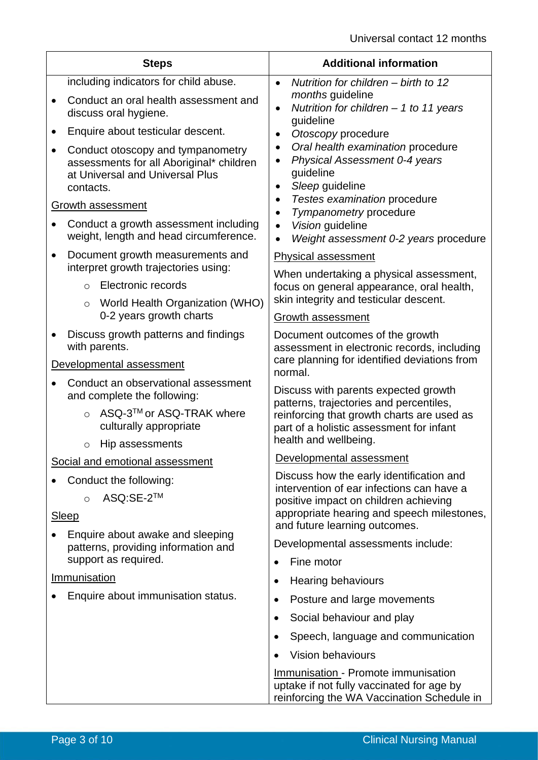| <b>Steps</b>             |                                                                                                                               | <b>Additional information</b>                                                                                                         |  |  |
|--------------------------|-------------------------------------------------------------------------------------------------------------------------------|---------------------------------------------------------------------------------------------------------------------------------------|--|--|
|                          | including indicators for child abuse.                                                                                         | Nutrition for children - birth to 12<br>$\bullet$                                                                                     |  |  |
|                          | Conduct an oral health assessment and<br>discuss oral hygiene.                                                                | months guideline<br>Nutrition for children $-$ 1 to 11 years<br>$\bullet$<br>guideline                                                |  |  |
|                          | Enquire about testicular descent.                                                                                             | Otoscopy procedure<br>$\bullet$                                                                                                       |  |  |
|                          | Conduct otoscopy and tympanometry<br>assessments for all Aboriginal* children<br>at Universal and Universal Plus<br>contacts. | Oral health examination procedure<br>$\bullet$<br>Physical Assessment 0-4 years<br>guideline<br>Sleep guideline<br>$\bullet$          |  |  |
| <b>Growth assessment</b> |                                                                                                                               | Testes examination procedure<br>$\bullet$<br>Tympanometry procedure                                                                   |  |  |
|                          | Conduct a growth assessment including<br>weight, length and head circumference.                                               | Vision guideline<br>Weight assessment 0-2 years procedure                                                                             |  |  |
|                          | Document growth measurements and<br>interpret growth trajectories using:                                                      | <b>Physical assessment</b>                                                                                                            |  |  |
|                          | Electronic records<br>$\Omega$                                                                                                | When undertaking a physical assessment,<br>focus on general appearance, oral health,                                                  |  |  |
|                          | World Health Organization (WHO)<br>$\circ$                                                                                    | skin integrity and testicular descent.                                                                                                |  |  |
|                          | 0-2 years growth charts                                                                                                       | <b>Growth assessment</b>                                                                                                              |  |  |
|                          | Discuss growth patterns and findings<br>with parents.                                                                         | Document outcomes of the growth<br>assessment in electronic records, including                                                        |  |  |
|                          | Developmental assessment                                                                                                      | care planning for identified deviations from<br>normal.                                                                               |  |  |
|                          | Conduct an observational assessment<br>and complete the following:                                                            | Discuss with parents expected growth<br>patterns, trajectories and percentiles,                                                       |  |  |
|                          | ASQ-3™ or ASQ-TRAK where<br>$\Omega$<br>culturally appropriate                                                                | reinforcing that growth charts are used as<br>part of a holistic assessment for infant                                                |  |  |
|                          | Hip assessments<br>$\circ$                                                                                                    | health and wellbeing.                                                                                                                 |  |  |
|                          | Social and emotional assessment                                                                                               | Developmental assessment                                                                                                              |  |  |
| Conduct the following:   |                                                                                                                               | Discuss how the early identification and<br>intervention of ear infections can have a                                                 |  |  |
|                          | ASQ:SE-2™<br>$\circ$                                                                                                          | positive impact on children achieving                                                                                                 |  |  |
|                          | <b>Sleep</b>                                                                                                                  | appropriate hearing and speech milestones,<br>and future learning outcomes.                                                           |  |  |
|                          | Enquire about awake and sleeping<br>patterns, providing information and                                                       | Developmental assessments include:                                                                                                    |  |  |
|                          | support as required.                                                                                                          | Fine motor                                                                                                                            |  |  |
| Immunisation             |                                                                                                                               | <b>Hearing behaviours</b><br>$\bullet$                                                                                                |  |  |
|                          | Enquire about immunisation status.                                                                                            | Posture and large movements<br>$\bullet$                                                                                              |  |  |
|                          |                                                                                                                               | Social behaviour and play<br>$\bullet$                                                                                                |  |  |
|                          |                                                                                                                               | Speech, language and communication<br>$\bullet$                                                                                       |  |  |
|                          |                                                                                                                               | <b>Vision behaviours</b>                                                                                                              |  |  |
|                          |                                                                                                                               | <b>Immunisation - Promote immunisation</b><br>uptake if not fully vaccinated for age by<br>reinforcing the WA Vaccination Schedule in |  |  |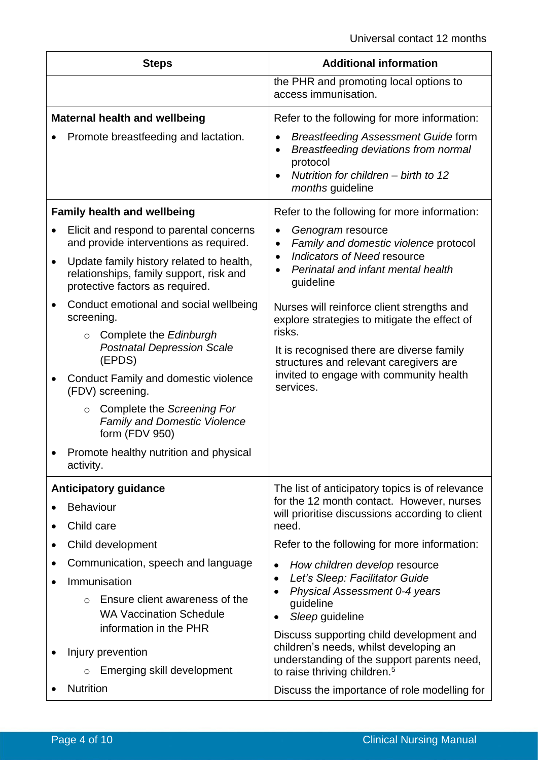| <b>Steps</b>                         |                                                                                                                        | <b>Additional information</b>                                                                                                                                                |  |
|--------------------------------------|------------------------------------------------------------------------------------------------------------------------|------------------------------------------------------------------------------------------------------------------------------------------------------------------------------|--|
|                                      |                                                                                                                        | the PHR and promoting local options to<br>access immunisation.                                                                                                               |  |
| <b>Maternal health and wellbeing</b> |                                                                                                                        | Refer to the following for more information:                                                                                                                                 |  |
|                                      | Promote breastfeeding and lactation.                                                                                   | <b>Breastfeeding Assessment Guide form</b><br>Breastfeeding deviations from normal<br>$\bullet$<br>protocol<br>Nutrition for children - birth to 12<br>months guideline      |  |
| <b>Family health and wellbeing</b>   |                                                                                                                        | Refer to the following for more information:                                                                                                                                 |  |
|                                      | Elicit and respond to parental concerns<br>and provide interventions as required.                                      | Genogram resource<br>Family and domestic violence protocol<br>$\bullet$                                                                                                      |  |
| $\bullet$                            | Update family history related to health,<br>relationships, family support, risk and<br>protective factors as required. | Indicators of Need resource<br>$\bullet$<br>Perinatal and infant mental health<br>guideline                                                                                  |  |
|                                      | Conduct emotional and social wellbeing<br>screening.                                                                   | Nurses will reinforce client strengths and<br>explore strategies to mitigate the effect of                                                                                   |  |
|                                      | Complete the Edinburgh<br>$\circ$<br><b>Postnatal Depression Scale</b><br>(EPDS)                                       | risks.<br>It is recognised there are diverse family<br>structures and relevant caregivers are                                                                                |  |
|                                      | <b>Conduct Family and domestic violence</b><br>(FDV) screening.                                                        | invited to engage with community health<br>services.                                                                                                                         |  |
|                                      | ○ Complete the Screening For<br><b>Family and Domestic Violence</b><br>form (FDV 950)                                  |                                                                                                                                                                              |  |
|                                      | Promote healthy nutrition and physical<br>activity.                                                                    |                                                                                                                                                                              |  |
|                                      | <b>Anticipatory guidance</b>                                                                                           | The list of anticipatory topics is of relevance                                                                                                                              |  |
|                                      | <b>Behaviour</b>                                                                                                       | for the 12 month contact. However, nurses<br>will prioritise discussions according to client                                                                                 |  |
|                                      | Child care                                                                                                             | need.                                                                                                                                                                        |  |
|                                      | Child development                                                                                                      | Refer to the following for more information:                                                                                                                                 |  |
|                                      | Communication, speech and language                                                                                     | How children develop resource<br>٠                                                                                                                                           |  |
|                                      | Immunisation                                                                                                           | Let's Sleep: Facilitator Guide<br>$\bullet$<br>Physical Assessment 0-4 years<br>$\bullet$                                                                                    |  |
|                                      | Ensure client awareness of the<br>$\circ$                                                                              | guideline                                                                                                                                                                    |  |
|                                      | <b>WA Vaccination Schedule</b><br>information in the PHR                                                               | Sleep guideline<br>$\bullet$                                                                                                                                                 |  |
|                                      | Injury prevention<br>Emerging skill development<br>$\circ$                                                             | Discuss supporting child development and<br>children's needs, whilst developing an<br>understanding of the support parents need,<br>to raise thriving children. <sup>5</sup> |  |
|                                      | <b>Nutrition</b>                                                                                                       | Discuss the importance of role modelling for                                                                                                                                 |  |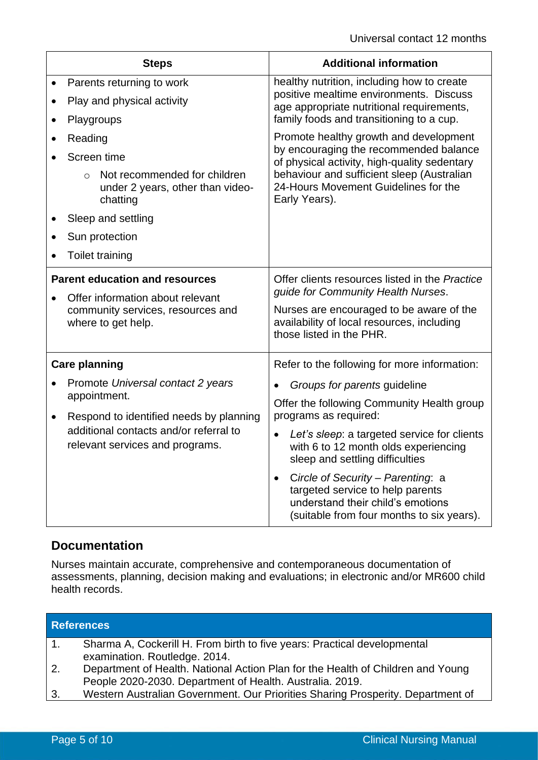| <b>Steps</b> |                                                                                                                                                                                                                                     | <b>Additional information</b>                                                                                                                                                                                                                                                                                                                                                                                                                         |  |
|--------------|-------------------------------------------------------------------------------------------------------------------------------------------------------------------------------------------------------------------------------------|-------------------------------------------------------------------------------------------------------------------------------------------------------------------------------------------------------------------------------------------------------------------------------------------------------------------------------------------------------------------------------------------------------------------------------------------------------|--|
|              | Parents returning to work<br>Play and physical activity<br>Playgroups<br>Reading<br>Screen time<br>Not recommended for children<br>$\Omega$<br>under 2 years, other than video-<br>chatting<br>Sleep and settling<br>Sun protection | healthy nutrition, including how to create<br>positive mealtime environments. Discuss<br>age appropriate nutritional requirements,<br>family foods and transitioning to a cup.<br>Promote healthy growth and development<br>by encouraging the recommended balance<br>of physical activity, high-quality sedentary<br>behaviour and sufficient sleep (Australian<br>24-Hours Movement Guidelines for the<br>Early Years).                             |  |
|              | <b>Toilet training</b><br><b>Parent education and resources</b><br>Offer information about relevant<br>community services, resources and<br>where to get help.                                                                      | Offer clients resources listed in the Practice<br>guide for Community Health Nurses.<br>Nurses are encouraged to be aware of the<br>availability of local resources, including<br>those listed in the PHR.                                                                                                                                                                                                                                            |  |
| $\bullet$    | <b>Care planning</b><br>Promote Universal contact 2 years<br>appointment.<br>Respond to identified needs by planning<br>additional contacts and/or referral to<br>relevant services and programs.                                   | Refer to the following for more information:<br>Groups for parents guideline<br>Offer the following Community Health group<br>programs as required:<br>Let's sleep: a targeted service for clients<br>with 6 to 12 month olds experiencing<br>sleep and settling difficulties<br>Circle of Security - Parenting: a<br>$\bullet$<br>targeted service to help parents<br>understand their child's emotions<br>(suitable from four months to six years). |  |

# **Documentation**

Nurses maintain accurate, comprehensive and contemporaneous documentation of assessments, planning, decision making and evaluations; in electronic and/or MR600 child health records.

| <b>References</b> |                                                                                                                                             |  |
|-------------------|---------------------------------------------------------------------------------------------------------------------------------------------|--|
| 1.                | Sharma A, Cockerill H. From birth to five years: Practical developmental<br>examination. Routledge. 2014.                                   |  |
| 2.                | Department of Health. National Action Plan for the Health of Children and Young<br>People 2020-2030. Department of Health. Australia. 2019. |  |
| 3.                | Western Australian Government. Our Priorities Sharing Prosperity. Department of                                                             |  |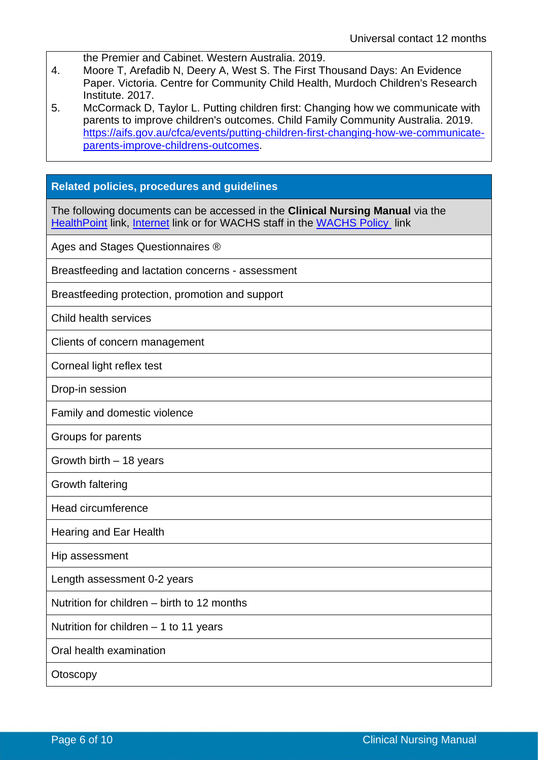| the Premier and Cabinet. Western Australia, 2019. |
|---------------------------------------------------|
|---------------------------------------------------|

4. Moore T, Arefadib N, Deery A, West S. The First Thousand Days: An Evidence Paper. Victoria. Centre for Community Child Health, Murdoch Children's Research Institute. 2017.

5. McCormack D, Taylor L. Putting children first: Changing how we communicate with parents to improve children's outcomes. Child Family Community Australia. 2019. [https://aifs.gov.au/cfca/events/putting-children-first-changing-how-we-communicate](https://aifs.gov.au/cfca/events/putting-children-first-changing-how-we-communicate-parents-improve-childrens-outcomes)[parents-improve-childrens-outcomes.](https://aifs.gov.au/cfca/events/putting-children-first-changing-how-we-communicate-parents-improve-childrens-outcomes)

#### **Related policies, procedures and guidelines**

The following documents can be accessed in the **Clinical Nursing Manual** via the [HealthPoint](https://healthpoint.hdwa.health.wa.gov.au/policies/Pages/CACH-Community-Health.aspx) link, [Internet](https://ww2.health.wa.gov.au/About-us/Child-and-Adolescent-Health-Service/Child-and-Adolescent-Community-Health/Professional-resources/Community-Health-Clinical-Nursing-Manual) link or for WACHS staff in the [WACHS Policy](https://healthpoint.hdwa.health.wa.gov.au/policies/Pages/WACHS%20Policy%20Pages/WACHS-Policies.aspx) link

Ages and Stages Questionnaires ®

Breastfeeding and lactation concerns - assessment

Breastfeeding protection, promotion and support

Child health services

Clients of concern management

Corneal light reflex test

Drop-in session

Family and domestic violence

Groups for parents

Growth birth – 18 years

Growth faltering

Head circumference

Hearing and Ear Health

Hip assessment

Length assessment 0-2 years

Nutrition for children – birth to 12 months

Nutrition for children – 1 to 11 years

Oral health examination

**Otoscopy**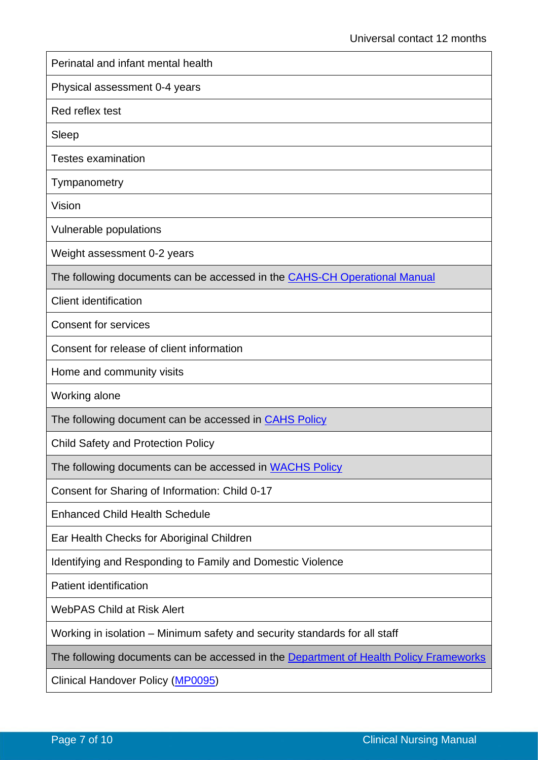| Perinatal and infant mental health                                                    |
|---------------------------------------------------------------------------------------|
| Physical assessment 0-4 years                                                         |
| Red reflex test                                                                       |
| Sleep                                                                                 |
| <b>Testes examination</b>                                                             |
| Tympanometry                                                                          |
| Vision                                                                                |
| Vulnerable populations                                                                |
| Weight assessment 0-2 years                                                           |
| The following documents can be accessed in the <b>CAHS-CH Operational Manual</b>      |
| <b>Client identification</b>                                                          |
| <b>Consent for services</b>                                                           |
| Consent for release of client information                                             |
| Home and community visits                                                             |
| Working alone                                                                         |
| The following document can be accessed in CAHS Policy                                 |
| <b>Child Safety and Protection Policy</b>                                             |
| The following documents can be accessed in WACHS Policy                               |
| Consent for Sharing of Information: Child 0-17                                        |
| <b>Enhanced Child Health Schedule</b>                                                 |
| Ear Health Checks for Aboriginal Children                                             |
| Identifying and Responding to Family and Domestic Violence                            |
| <b>Patient identification</b>                                                         |
| <b>WebPAS Child at Risk Alert</b>                                                     |
| Working in isolation – Minimum safety and security standards for all staff            |
| The following documents can be accessed in the Department of Health Policy Frameworks |
| Clinical Handover Policy (MP0095)                                                     |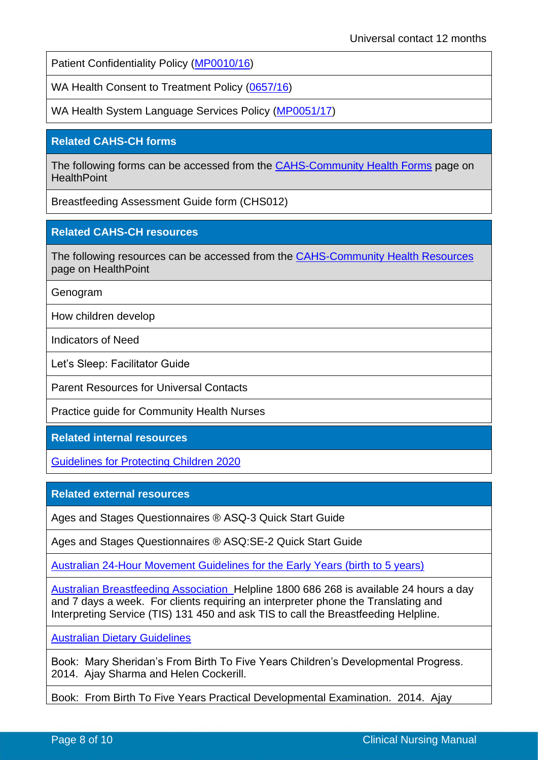Patient Confidentiality Policy [\(MP0010/16\)](https://ww2.health.wa.gov.au/About-us/Policy-Frameworks/Search?site=policyFrameworks&searchStr=paient%20confidentiality&pn=&fr=999&df=&dt=&sb=Relevance&do=DESC)

WA Health Consent to Treatment Policy [\(0657/16\)](https://ww2.health.wa.gov.au/About-us/Policy-frameworks/Clinical-Governance-Safety-and-Quality/Mandatory-requirements/WA-Health-Consent-to-Treatment-Policy)

WA Health System Language Services Policy [\(MP0051/17\)](https://ww2.health.wa.gov.au/About-us/Policy-frameworks/Communications/mandatory/WA-Health-System-Language-Services-Policy)

### **Related CAHS-CH forms**

The following forms can be accessed from the [CAHS-Community Health Forms](https://cahs-healthpoint.hdwa.health.wa.gov.au/cach/forms/Pages/default.aspx) page on **HealthPoint** 

Breastfeeding Assessment Guide form (CHS012)

### **Related CAHS-CH resources**

The following resources can be accessed from the [CAHS-Community Health Resources](https://cahs-healthpoint.hdwa.health.wa.gov.au/cach/resources/Pages/default.aspx) page on HealthPoint

Genogram

How children develop

Indicators of Need

Let's Sleep: Facilitator Guide

Parent Resources for Universal Contacts

Practice guide for Community Health Nurses

**Related internal resources** 

[Guidelines for Protecting Children 2020](https://cahs-healthpoint.hdwa.health.wa.gov.au/directory/SPOCC/Documents/Guidelines%20for%20the%20Protection%20of%20Children.pdf)

**Related external resources** 

Ages and Stages Questionnaires ® ASQ-3 Quick Start Guide

Ages and Stages Questionnaires ® ASQ:SE-2 Quick Start Guide

[Australian 24-Hour Movement Guidelines for the Early Years \(birth to 5 years\)](https://www1.health.gov.au/internet/main/publishing.nsf/Content/DAAD9AEB38F655D6CA257C75001B546D/$File/24hrGuidleines-Factsheet-fa-0-5.pdf)

[Australian Breastfeeding Association](https://www.breastfeeding.asn.au/) Helpline 1800 686 268 is available 24 hours a day and 7 days a week. For clients requiring an interpreter phone the Translating and Interpreting Service (TIS) 131 450 and ask TIS to call the Breastfeeding Helpline.

[Australian Dietary Guidelines](https://www.eatforhealth.gov.au/guidelines/about-australian-dietary-guidelines)

Book: Mary Sheridan's From Birth To Five Years Children's Developmental Progress. 2014. Ajay Sharma and Helen Cockerill.

Book: From Birth To Five Years Practical Developmental Examination. 2014. Ajay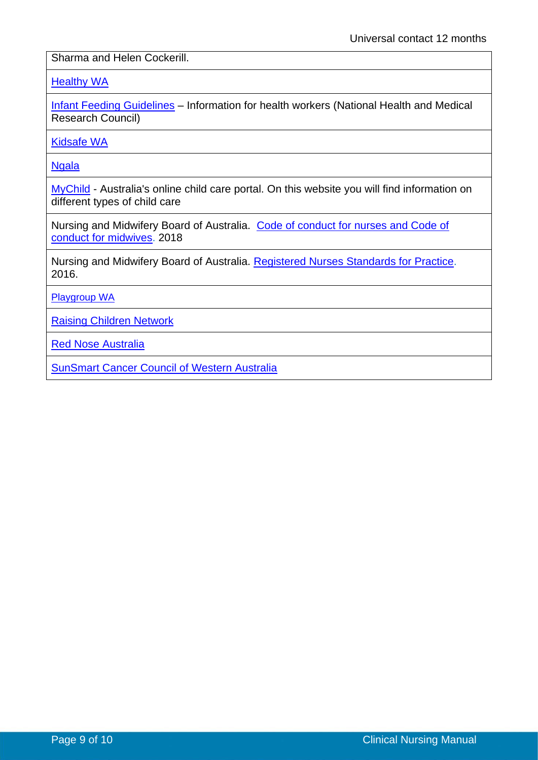Sharma and Helen Cockerill.

#### **[Healthy WA](https://healthywa.wa.gov.au/)**

[Infant Feeding Guidelines](https://www.eatforhealth.gov.au/sites/default/files/files/the_guidelines/n56_infant_feeding_guidelines_160822(1).pdf) - Information for health workers (National Health and Medical Research Council)

[Kidsafe WA](http://www.kidsafewa.com.au/)

**[Ngala](http://www.ngala.com.au/)** 

[MyChild](https://mychild.gov.au/) - Australia's online child care portal. On this website you will find information on different types of child care

Nursing and Midwifery Board of Australia. [Code of conduct for nurses and Code of](https://www.nursingmidwiferyboard.gov.au/Codes-Guidelines-Statements/Professional-standards.aspx)  [conduct for midwives.](https://www.nursingmidwiferyboard.gov.au/Codes-Guidelines-Statements/Professional-standards.aspx) 2018

Nursing and Midwifery Board of Australia. [Registered Nurses Standards for Practice.](https://www.nursingmidwiferyboard.gov.au/codes-guidelines-statements/professional-standards/registered-nurse-standards-for-practice.aspx) 2016.

[Playgroup WA](http://playgroupwa.com.au/?bcsi_scan_313cddce030931be=0)

[Raising Children Network](http://raisingchildren.net.au/) 

[Red Nose Australia](https://rednose.com.au/)

[SunSmart Cancer Council of Western Australia](https://www.cancerwa.asn.au/prevention/sunsmart/)